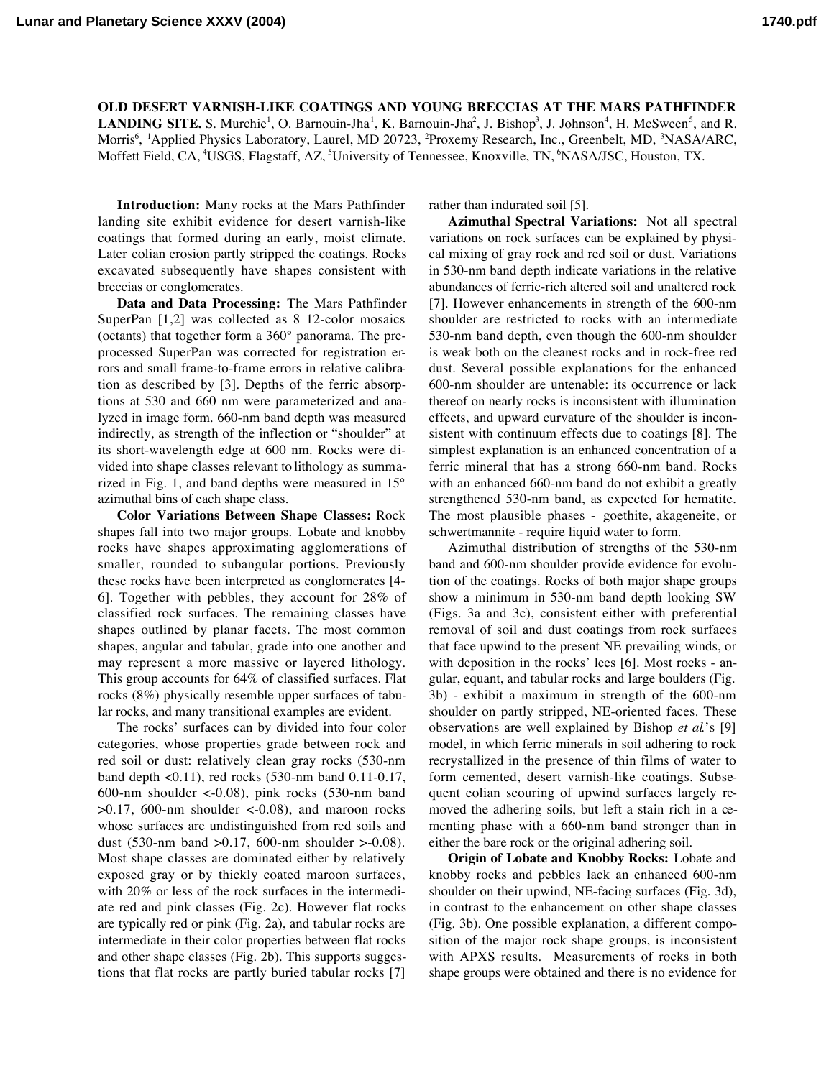**OLD DESERT VARNISH-LIKE COATINGS AND YOUNG BRECCIAS AT THE MARS PATHFINDER LANDING SITE.** S. Murchie<sup>1</sup>, O. Barnouin-Jha<sup>1</sup>, K. Barnouin-Jha<sup>2</sup>, J. Bishop<sup>3</sup>, J. Johnson<sup>4</sup>, H. McSween<sup>5</sup>, and R. Morris<sup>6</sup>, <sup>1</sup>Applied Physics Laboratory, Laurel, MD 20723, <sup>2</sup>Proxemy Research, Inc., Greenbelt, MD, <sup>3</sup>NASA/ARC, Moffett Field, CA, <sup>4</sup>USGS, Flagstaff, AZ, <sup>5</sup>University of Tennessee, Knoxville, TN, <sup>6</sup>NASA/JSC, Houston, TX.

**Introduction:** Many rocks at the Mars Pathfinder landing site exhibit evidence for desert varnish-like coatings that formed during an early, moist climate. Later eolian erosion partly stripped the coatings. Rocks excavated subsequently have shapes consistent with breccias or conglomerates.

**Data and Data Processing:** The Mars Pathfinder SuperPan [1,2] was collected as 8 12-color mosaics (octants) that together form a 360° panorama. The preprocessed SuperPan was corrected for registration errors and small frame-to-frame errors in relative calibration as described by [3]. Depths of the ferric absorptions at 530 and 660 nm were parameterized and analyzed in image form. 660-nm band depth was measured indirectly, as strength of the inflection or "shoulder" at its short-wavelength edge at 600 nm. Rocks were divided into shape classes relevant to lithology as summarized in Fig. 1, and band depths were measured in 15° azimuthal bins of each shape class.

**Color Variations Between Shape Classes:** Rock shapes fall into two major groups. Lobate and knobby rocks have shapes approximating agglomerations of smaller, rounded to subangular portions. Previously these rocks have been interpreted as conglomerates [4- 6]. Together with pebbles, they account for 28% of classified rock surfaces. The remaining classes have shapes outlined by planar facets. The most common shapes, angular and tabular, grade into one another and may represent a more massive or layered lithology. This group accounts for 64% of classified surfaces. Flat rocks (8%) physically resemble upper surfaces of tabular rocks, and many transitional examples are evident.

The rocks' surfaces can by divided into four color categories, whose properties grade between rock and red soil or dust: relatively clean gray rocks (530-nm band depth <0.11), red rocks (530-nm band 0.11-0.17, 600-nm shoulder  $\langle$ -0.08), pink rocks (530-nm band  $>0.17$ , 600-nm shoulder <-0.08), and maroon rocks whose surfaces are undistinguished from red soils and dust (530-nm band  $>0.17$ , 600-nm shoulder  $>0.08$ ). Most shape classes are dominated either by relatively exposed gray or by thickly coated maroon surfaces, with 20% or less of the rock surfaces in the intermediate red and pink classes (Fig. 2c). However flat rocks are typically red or pink (Fig. 2a), and tabular rocks are intermediate in their color properties between flat rocks and other shape classes (Fig. 2b). This supports suggestions that flat rocks are partly buried tabular rocks [7]

rather than indurated soil [5].

**Azimuthal Spectral Variations:** Not all spectral variations on rock surfaces can be explained by physical mixing of gray rock and red soil or dust. Variations in 530-nm band depth indicate variations in the relative abundances of ferric-rich altered soil and unaltered rock [7]. However enhancements in strength of the 600-nm shoulder are restricted to rocks with an intermediate 530-nm band depth, even though the 600-nm shoulder is weak both on the cleanest rocks and in rock-free red dust. Several possible explanations for the enhanced 600-nm shoulder are untenable: its occurrence or lack thereof on nearly rocks is inconsistent with illumination effects, and upward curvature of the shoulder is inconsistent with continuum effects due to coatings [8]. The simplest explanation is an enhanced concentration of a ferric mineral that has a strong 660-nm band. Rocks with an enhanced 660-nm band do not exhibit a greatly strengthened 530-nm band, as expected for hematite. The most plausible phases - goethite, akageneite, or schwertmannite - require liquid water to form.

Azimuthal distribution of strengths of the 530-nm band and 600-nm shoulder provide evidence for evolution of the coatings. Rocks of both major shape groups show a minimum in 530-nm band depth looking SW (Figs. 3a and 3c), consistent either with preferential removal of soil and dust coatings from rock surfaces that face upwind to the present NE prevailing winds, or with deposition in the rocks' lees [6]. Most rocks - angular, equant, and tabular rocks and large boulders (Fig. 3b) - exhibit a maximum in strength of the 600-nm shoulder on partly stripped, NE-oriented faces. These observations are well explained by Bishop *et al*.'s [9] model, in which ferric minerals in soil adhering to rock recrystallized in the presence of thin films of water to form cemented, desert varnish-like coatings. Subsequent eolian scouring of upwind surfaces largely removed the adhering soils, but left a stain rich in a cementing phase with a 660-nm band stronger than in either the bare rock or the original adhering soil.

**Origin of Lobate and Knobby Rocks:** Lobate and knobby rocks and pebbles lack an enhanced 600-nm shoulder on their upwind, NE-facing surfaces (Fig. 3d), in contrast to the enhancement on other shape classes (Fig. 3b). One possible explanation, a different composition of the major rock shape groups, is inconsistent with APXS results. Measurements of rocks in both shape groups were obtained and there is no evidence for